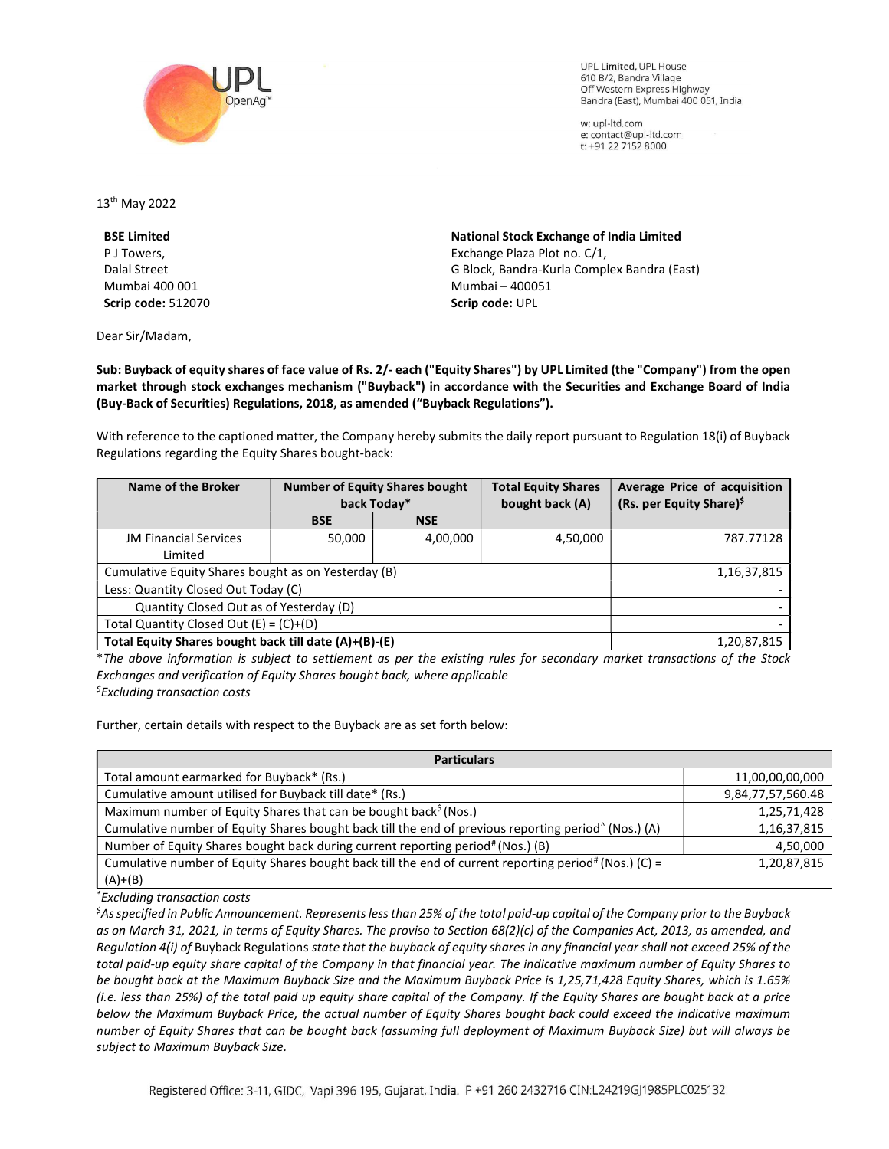

**UPL Limited. UPL House** 610 B/2, Bandra Village Off Western Express Highway Bandra (East), Mumbai 400 051, India

w: upl-ltd.com e: contact@upl-ltd.com t: +91 22 7152 8000

13th May 2022

BSE Limited P J Towers, Dalal Street Mumbai 400 001 Scrip code: 512070

Dear Sir/Madam,

National Stock Exchange of India Limited Exchange Plaza Plot no. C/1, G Block, Bandra-Kurla Complex Bandra (East) Mumbai – 400051 Scrip code: UPL

Sub: Buyback of equity shares of face value of Rs. 2/- each ("Equity Shares") by UPL Limited (the "Company") from the open market through stock exchanges mechanism ("Buyback") in accordance with the Securities and Exchange Board of India (Buy-Back of Securities) Regulations, 2018, as amended ("Buyback Regulations").

With reference to the captioned matter, the Company hereby submits the daily report pursuant to Regulation 18(i) of Buyback Regulations regarding the Equity Shares bought-back:

| Name of the Broker                                    | <b>Number of Equity Shares bought</b><br>back Today* |            | <b>Total Equity Shares</b><br>bought back (A) | Average Price of acquisition<br>(Rs. per Equity Share) <sup>\$</sup> |
|-------------------------------------------------------|------------------------------------------------------|------------|-----------------------------------------------|----------------------------------------------------------------------|
|                                                       | <b>BSE</b>                                           | <b>NSE</b> |                                               |                                                                      |
| <b>JM Financial Services</b>                          | 50,000                                               | 4,00,000   | 4,50,000                                      | 787.77128                                                            |
| Limited                                               |                                                      |            |                                               |                                                                      |
| Cumulative Equity Shares bought as on Yesterday (B)   |                                                      |            |                                               | 1,16,37,815                                                          |
| Less: Quantity Closed Out Today (C)                   |                                                      |            |                                               |                                                                      |
| Quantity Closed Out as of Yesterday (D)               |                                                      |            |                                               |                                                                      |
| Total Quantity Closed Out $(E) = (C)+(D)$             |                                                      |            |                                               |                                                                      |
| Total Equity Shares bought back till date (A)+(B)-(E) |                                                      |            |                                               | 1,20,87,815                                                          |

\*The above information is subject to settlement as per the existing rules for secondary market transactions of the Stock Exchanges and verification of Equity Shares bought back, where applicable  $<sup>5</sup>$ Excluding transaction costs</sup>

Further, certain details with respect to the Buyback are as set forth below:

| <b>Particulars</b>                                                                                               |                   |  |  |  |
|------------------------------------------------------------------------------------------------------------------|-------------------|--|--|--|
| Total amount earmarked for Buyback* (Rs.)                                                                        | 11,00,00,00,000   |  |  |  |
| Cumulative amount utilised for Buyback till date* (Rs.)                                                          | 9,84,77,57,560.48 |  |  |  |
| Maximum number of Equity Shares that can be bought back <sup>5</sup> (Nos.)                                      | 1,25,71,428       |  |  |  |
| Cumulative number of Equity Shares bought back till the end of previous reporting period <sup>^</sup> (Nos.) (A) | 1,16,37,815       |  |  |  |
| Number of Equity Shares bought back during current reporting period# (Nos.) (B)                                  | 4,50,000          |  |  |  |
| Cumulative number of Equity Shares bought back till the end of current reporting period# (Nos.) (C) =            | 1,20,87,815       |  |  |  |
| $(A)+(B)$                                                                                                        |                   |  |  |  |

\*Excluding transaction costs

 ${}^5$ As specified in Public Announcement. Represents less than 25% of the total paid-up capital of the Company prior to the Buyback as on March 31, 2021, in terms of Equity Shares. The proviso to Section 68(2)(c) of the Companies Act, 2013, as amended, and Regulation 4(i) of Buyback Regulations state that the buyback of equity shares in any financial year shall not exceed 25% of the total paid-up equity share capital of the Company in that financial year. The indicative maximum number of Equity Shares to be bought back at the Maximum Buyback Size and the Maximum Buyback Price is 1,25,71,428 Equity Shares, which is 1.65% (i.e. less than 25%) of the total paid up equity share capital of the Company. If the Equity Shares are bought back at a price below the Maximum Buyback Price, the actual number of Equity Shares bought back could exceed the indicative maximum number of Equity Shares that can be bought back (assuming full deployment of Maximum Buyback Size) but will always be subject to Maximum Buyback Size.